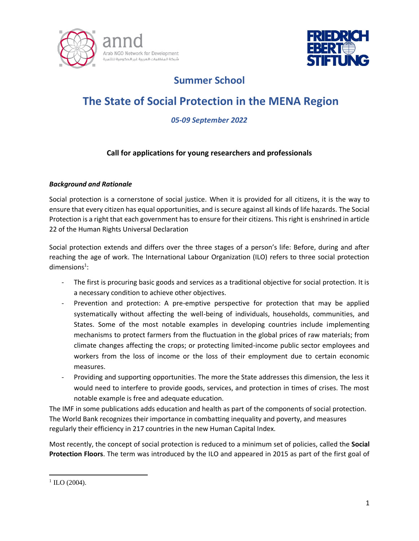



# **Summer School**

# **The State of Social Protection in the MENA Region**

## *05-09 September 2022*

### **Call for applications for young researchers and professionals**

#### *Background and Rationale*

Social protection is a cornerstone of social justice. When it is provided for all citizens, it is the way to ensure that every citizen has equal opportunities, and is secure against all kinds of life hazards. The Social Protection is a right that each government has to ensure for their citizens. This right is enshrined in article 22 of the Human Rights Universal Declaration

Social protection extends and differs over the three stages of a person's life: Before, during and after reaching the age of work. The International Labour Organization (ILO) refers to three social protection  $dimensions<sup>1</sup>$ :

- The first is procuring basic goods and services as a traditional objective for social protection. It is a necessary condition to achieve other objectives.
- Prevention and protection: A pre-emptive perspective for protection that may be applied systematically without affecting the well-being of individuals, households, communities, and States. Some of the most notable examples in developing countries include implementing mechanisms to protect farmers from the fluctuation in the global prices of raw materials; from climate changes affecting the crops; or protecting limited-income public sector employees and workers from the loss of income or the loss of their employment due to certain economic measures.
- Providing and supporting opportunities. The more the State addresses this dimension, the less it would need to interfere to provide goods, services, and protection in times of crises. The most notable example is free and adequate education.

The IMF in some publications adds education and health as part of the components of social protection. The World Bank recognizes their importance in combatting inequality and poverty, and measures regularly their efficiency in 217 countries in the new Human Capital Index.

Most recently, the concept of social protection is reduced to a minimum set of policies, called the **Social Protection Floors**. The term was introduced by the ILO and appeared in 2015 as part of the first goal of

 $\overline{a}$ 

 $1$  ILO (2004).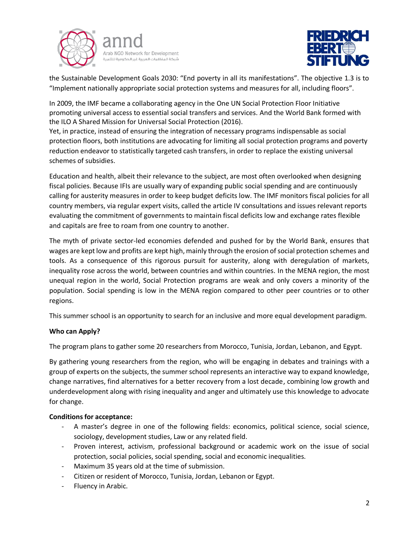



the Sustainable Development Goals 2030: "End poverty in all its manifestations". The objective 1.3 is to "Implement nationally appropriate social protection systems and measures for all, including floors".

In 2009, the IMF became a collaborating agency in the One UN Social Protection Floor Initiative promoting universal access to essential social transfers and services. And the World Bank formed with the ILO A Shared Mission for Universal Social Protection (2016).

Yet, in practice, instead of ensuring the integration of necessary programs indispensable as social protection floors, both institutions are advocating for limiting all social protection programs and poverty reduction endeavor to statistically targeted cash transfers, in order to replace the existing universal schemes of subsidies.

Education and health, albeit their relevance to the subject, are most often overlooked when designing fiscal policies. Because IFIs are usually wary of expanding public social spending and are continuously calling for austerity measures in order to keep budget deficits low. The IMF monitors fiscal policies for all country members, via regular expert visits, called the article IV consultations and issues relevant reports evaluating the commitment of governments to maintain fiscal deficits low and exchange rates flexible and capitals are free to roam from one country to another.

The myth of private sector-led economies defended and pushed for by the World Bank, ensures that wages are kept low and profits are kept high, mainly through the erosion of social protection schemes and tools. As a consequence of this rigorous pursuit for austerity, along with deregulation of markets, inequality rose across the world, between countries and within countries. In the MENA region, the most unequal region in the world, Social Protection programs are weak and only covers a minority of the population. Social spending is low in the MENA region compared to other peer countries or to other regions.

This summer school is an opportunity to search for an inclusive and more equal development paradigm.

#### **Who can Apply?**

The program plans to gather some 20 researchers from Morocco, Tunisia, Jordan, Lebanon, and Egypt.

By gathering young researchers from the region, who will be engaging in debates and trainings with a group of experts on the subjects, the summer school represents an interactive way to expand knowledge, change narratives, find alternatives for a better recovery from a lost decade, combining low growth and underdevelopment along with rising inequality and anger and ultimately use this knowledge to advocate for change.

#### **Conditions for acceptance:**

- A master's degree in one of the following fields: economics, political science, social science, sociology, development studies, Law or any related field.
- Proven interest, activism, professional background or academic work on the issue of social protection, social policies, social spending, social and economic inequalities.
- Maximum 35 years old at the time of submission.
- Citizen or resident of Morocco, Tunisia, Jordan, Lebanon or Egypt.
- Fluency in Arabic.